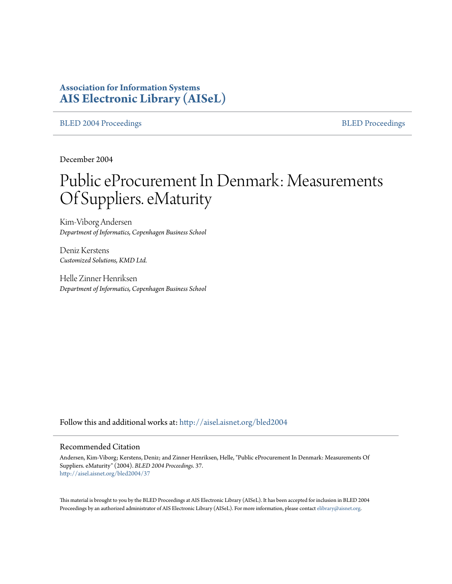# **Association for Information Systems [AIS Electronic Library \(AISeL\)](http://aisel.aisnet.org?utm_source=aisel.aisnet.org%2Fbled2004%2F37&utm_medium=PDF&utm_campaign=PDFCoverPages)**

[BLED 2004 Proceedings](http://aisel.aisnet.org/bled2004?utm_source=aisel.aisnet.org%2Fbled2004%2F37&utm_medium=PDF&utm_campaign=PDFCoverPages) and the state of the state of the [BLED Proceedings](http://aisel.aisnet.org/bled?utm_source=aisel.aisnet.org%2Fbled2004%2F37&utm_medium=PDF&utm_campaign=PDFCoverPages) and the BLED Proceedings and the BLED Proceedings and the BLED Proceedings and the BLED Proceedings and the BLED Proceedings and the BLED Proceedings

December 2004

# Public eProcurement In Denmark: Measurements Of Suppliers. eMaturity

Kim-Viborg Andersen *Department of Informatics, Copenhagen Business School*

Deniz Kerstens *Customized Solutions, KMD Ltd.*

Helle Zinner Henriksen *Department of Informatics, Copenhagen Business School*

Follow this and additional works at: [http://aisel.aisnet.org/bled2004](http://aisel.aisnet.org/bled2004?utm_source=aisel.aisnet.org%2Fbled2004%2F37&utm_medium=PDF&utm_campaign=PDFCoverPages)

#### Recommended Citation

Andersen, Kim-Viborg; Kerstens, Deniz; and Zinner Henriksen, Helle, "Public eProcurement In Denmark: Measurements Of Suppliers. eMaturity" (2004). *BLED 2004 Proceedings*. 37. [http://aisel.aisnet.org/bled2004/37](http://aisel.aisnet.org/bled2004/37?utm_source=aisel.aisnet.org%2Fbled2004%2F37&utm_medium=PDF&utm_campaign=PDFCoverPages)

This material is brought to you by the BLED Proceedings at AIS Electronic Library (AISeL). It has been accepted for inclusion in BLED 2004 Proceedings by an authorized administrator of AIS Electronic Library (AISeL). For more information, please contact [elibrary@aisnet.org](mailto:elibrary@aisnet.org%3E).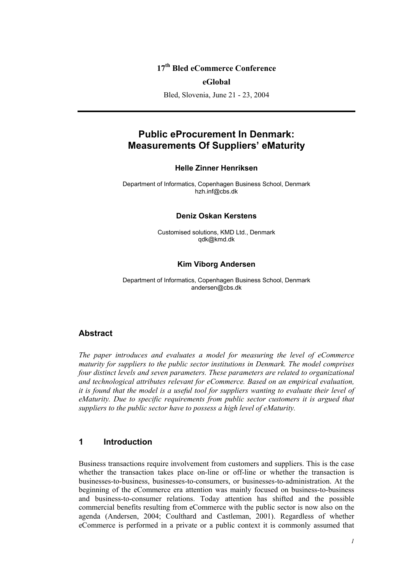# **17th Bled eCommerce Conference**

#### **eGlobal**

Bled, Slovenia, June 21 - 23, 2004

# **Public eProcurement In Denmark: Measurements Of Suppliers' eMaturity**

#### **Helle Zinner Henriksen**

Department of Informatics, Copenhagen Business School, Denmark hzh.inf@cbs.dk

#### **Deniz Oskan Kerstens**

Customised solutions, KMD Ltd., Denmark qdk@kmd.dk

#### **Kim Viborg Andersen**

Department of Informatics, Copenhagen Business School, Denmark andersen@cbs.dk

#### **Abstract**

*The paper introduces and evaluates a model for measuring the level of eCommerce maturity for suppliers to the public sector institutions in Denmark. The model comprises four distinct levels and seven parameters. These parameters are related to organizational and technological attributes relevant for eCommerce. Based on an empirical evaluation, it is found that the model is a useful tool for suppliers wanting to evaluate their level of eMaturity. Due to specific requirements from public sector customers it is argued that suppliers to the public sector have to possess a high level of eMaturity.* 

#### **1 Introduction**

Business transactions require involvement from customers and suppliers. This is the case whether the transaction takes place on-line or off-line or whether the transaction is businesses-to-business, businesses-to-consumers, or businesses-to-administration. At the beginning of the eCommerce era attention was mainly focused on business-to-business and business-to-consumer relations. Today attention has shifted and the possible commercial benefits resulting from eCommerce with the public sector is now also on the agenda (Andersen, 2004; Coulthard and Castleman, 2001). Regardless of whether eCommerce is performed in a private or a public context it is commonly assumed that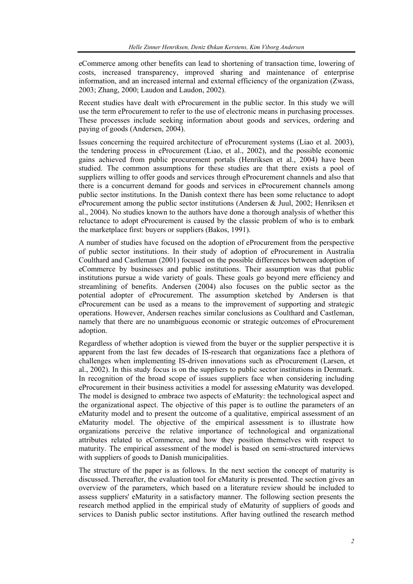eCommerce among other benefits can lead to shortening of transaction time, lowering of costs, increased transparency, improved sharing and maintenance of enterprise information, and an increased internal and external efficiency of the organization (Zwass, 2003; Zhang, 2000; Laudon and Laudon, 2002).

Recent studies have dealt with eProcurement in the public sector. In this study we will use the term eProcurement to refer to the use of electronic means in purchasing processes. These processes include seeking information about goods and services, ordering and paying of goods (Andersen, 2004).

Issues concerning the required architecture of eProcurement systems (Liao et al. 2003), the tendering process in eProcurement (Liao, et al., 2002), and the possible economic gains achieved from public procurement portals (Henriksen et al., 2004) have been studied. The common assumptions for these studies are that there exists a pool of suppliers willing to offer goods and services through eProcurement channels and also that there is a concurrent demand for goods and services in eProcurement channels among public sector institutions. In the Danish context there has been some reluctance to adopt eProcurement among the public sector institutions (Andersen & Juul, 2002; Henriksen et al., 2004). No studies known to the authors have done a thorough analysis of whether this reluctance to adopt eProcurement is caused by the classic problem of who is to embark the marketplace first: buyers or suppliers (Bakos, 1991).

A number of studies have focused on the adoption of eProcurement from the perspective of public sector institutions. In their study of adoption of eProcurement in Australia Coulthard and Castleman (2001) focused on the possible differences between adoption of eCommerce by businesses and public institutions. Their assumption was that public institutions pursue a wide variety of goals. These goals go beyond mere efficiency and streamlining of benefits. Andersen (2004) also focuses on the public sector as the potential adopter of eProcurement. The assumption sketched by Andersen is that eProcurement can be used as a means to the improvement of supporting and strategic operations. However, Andersen reaches similar conclusions as Coulthard and Castleman, namely that there are no unambiguous economic or strategic outcomes of eProcurement adoption.

Regardless of whether adoption is viewed from the buyer or the supplier perspective it is apparent from the last few decades of IS-research that organizations face a plethora of challenges when implementing IS-driven innovations such as eProcurement (Larsen, et al., 2002). In this study focus is on the suppliers to public sector institutions in Denmark. In recognition of the broad scope of issues suppliers face when considering including eProcurement in their business activities a model for assessing eMaturity was developed. The model is designed to embrace two aspects of eMaturity: the technological aspect and the organizational aspect. The objective of this paper is to outline the parameters of an eMaturity model and to present the outcome of a qualitative, empirical assessment of an eMaturity model. The objective of the empirical assessment is to illustrate how organizations perceive the relative importance of technological and organizational attributes related to eCommerce, and how they position themselves with respect to maturity. The empirical assessment of the model is based on semi-structured interviews with suppliers of goods to Danish municipalities.

The structure of the paper is as follows. In the next section the concept of maturity is discussed. Thereafter, the evaluation tool for eMaturity is presented. The section gives an overview of the parameters, which based on a literature review should be included to assess suppliers' eMaturity in a satisfactory manner. The following section presents the research method applied in the empirical study of eMaturity of suppliers of goods and services to Danish public sector institutions. After having outlined the research method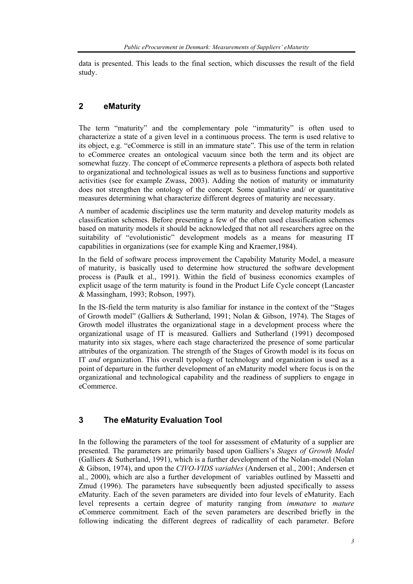data is presented. This leads to the final section, which discusses the result of the field study.

# **2 eMaturity**

The term "maturity" and the complementary pole "immaturity" is often used to characterize a state of a given level in a continuous process. The term is used relative to its object, e.g. "eCommerce is still in an immature state". This use of the term in relation to eCommerce creates an ontological vacuum since both the term and its object are somewhat fuzzy. The concept of eCommerce represents a plethora of aspects both related to organizational and technological issues as well as to business functions and supportive activities (see for example Zwass, 2003). Adding the notion of maturity or immaturity does not strengthen the ontology of the concept. Some qualitative and/ or quantitative measures determining what characterize different degrees of maturity are necessary.

A number of academic disciplines use the term maturity and develop maturity models as classification schemes. Before presenting a few of the often used classification schemes based on maturity models it should be acknowledged that not all researchers agree on the suitability of "evolutionistic" development models as a means for measuring IT capabilities in organizations (see for example King and Kraemer,1984).

In the field of software process improvement the Capability Maturity Model, a measure of maturity, is basically used to determine how structured the software development process is (Paulk et al., 1991). Within the field of business economics examples of explicit usage of the term maturity is found in the Product Life Cycle concept (Lancaster & Massingham, 1993; Robson, 1997).

In the IS-field the term maturity is also familiar for instance in the context of the "Stages of Growth model" (Galliers & Sutherland, 1991; Nolan & Gibson, 1974). The Stages of Growth model illustrates the organizational stage in a development process where the organizational usage of IT is measured. Galliers and Sutherland (1991) decomposed maturity into six stages, where each stage characterized the presence of some particular attributes of the organization. The strength of the Stages of Growth model is its focus on IT *and* organization. This overall typology of technology and organization is used as a point of departure in the further development of an eMaturity model where focus is on the organizational and technological capability and the readiness of suppliers to engage in eCommerce.

# **3 The eMaturity Evaluation Tool**

In the following the parameters of the tool for assessment of eMaturity of a supplier are presented. The parameters are primarily based upon Galliers's *Stages of Growth Model* (Galliers & Sutherland, 1991), which is a further development of the Nolan-model (Nolan & Gibson, 1974), and upon the *CIVO-VIDS variables* (Andersen et al., 2001; Andersen et al., 2000), which are also a further development of variables outlined by Massetti and Zmud (1996). The parameters have subsequently been adjusted specifically to assess eMaturity. Each of the seven parameters are divided into four levels of eMaturity. Each level represents a certain degree of maturity ranging from *immature* to *mature*  eCommerce commitment*.* Each of the seven parameters are described briefly in the following indicating the different degrees of radicallity of each parameter. Before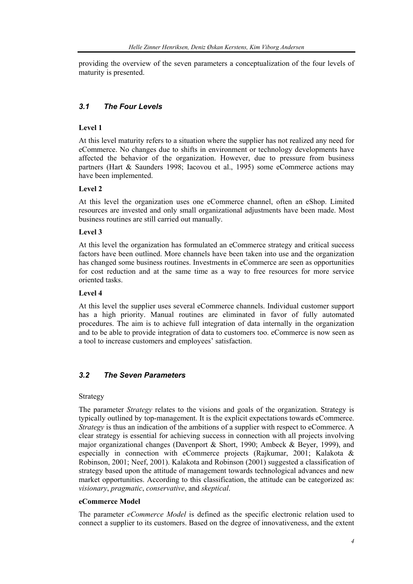providing the overview of the seven parameters a conceptualization of the four levels of maturity is presented.

# *3.1 The Four Levels*

## **Level 1**

At this level maturity refers to a situation where the supplier has not realized any need for eCommerce. No changes due to shifts in environment or technology developments have affected the behavior of the organization. However, due to pressure from business partners (Hart & Saunders 1998; Iacovou et al., 1995) some eCommerce actions may have been implemented.

## **Level 2**

At this level the organization uses one eCommerce channel, often an eShop. Limited resources are invested and only small organizational adjustments have been made. Most business routines are still carried out manually.

## **Level 3**

At this level the organization has formulated an eCommerce strategy and critical success factors have been outlined. More channels have been taken into use and the organization has changed some business routines. Investments in eCommerce are seen as opportunities for cost reduction and at the same time as a way to free resources for more service oriented tasks.

#### **Level 4**

At this level the supplier uses several eCommerce channels. Individual customer support has a high priority. Manual routines are eliminated in favor of fully automated procedures. The aim is to achieve full integration of data internally in the organization and to be able to provide integration of data to customers too. eCommerce is now seen as a tool to increase customers and employees' satisfaction.

# *3.2 The Seven Parameters*

#### Strategy

The parameter *Strategy* relates to the visions and goals of the organization. Strategy is typically outlined by top-management. It is the explicit expectations towards eCommerce. *Strategy* is thus an indication of the ambitions of a supplier with respect to eCommerce. A clear strategy is essential for achieving success in connection with all projects involving major organizational changes (Davenport & Short, 1990; Ambeck & Beyer, 1999), and especially in connection with eCommerce projects (Rajkumar, 2001; Kalakota & Robinson, 2001; Neef, 2001). Kalakota and Robinson (2001) suggested a classification of strategy based upon the attitude of management towards technological advances and new market opportunities. According to this classification, the attitude can be categorized as: *visionary*, *pragmatic*, *conservative*, and *skeptical*.

#### **eCommerce Model**

The parameter *eCommerce Model* is defined as the specific electronic relation used to connect a supplier to its customers. Based on the degree of innovativeness, and the extent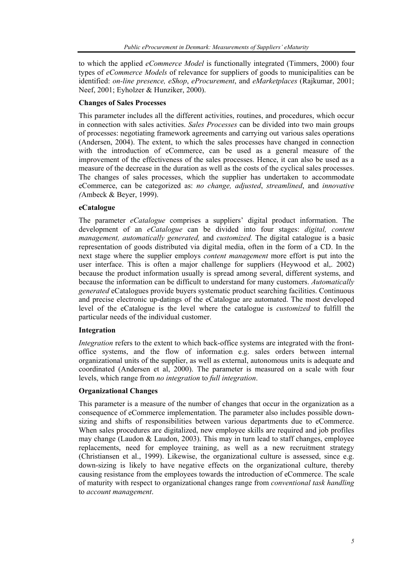to which the applied *eCommerce Model* is functionally integrated (Timmers, 2000) four types of *eCommerce Models* of relevance for suppliers of goods to municipalities can be identified: *on-line presence, eShop*, *eProcurement*, and *eMarketplaces* (Rajkumar, 2001; Neef, 2001; Eyholzer & Hunziker, 2000).

#### **Changes of Sales Processes**

This parameter includes all the different activities, routines, and procedures, which occur in connection with sales activities. *Sales Processes* can be divided into two main groups of processes: negotiating framework agreements and carrying out various sales operations (Andersen, 2004). The extent, to which the sales processes have changed in connection with the introduction of eCommerce, can be used as a general measure of the improvement of the effectiveness of the sales processes. Hence, it can also be used as a measure of the decrease in the duration as well as the costs of the cyclical sales processes. The changes of sales processes, which the supplier has undertaken to accommodate eCommerce, can be categorized as: *no change, adjusted*, *streamlined*, and *innovative (*Ambeck & Beyer, 1999).

#### **eCatalogue**

The parameter *eCatalogue* comprises a suppliers' digital product information. The development of an *eCatalogue* can be divided into four stages: *digital, content management, automatically generated,* and *customized.* The digital catalogue is a basic representation of goods distributed via digital media, often in the form of a CD. In the next stage where the supplier employs *content management* more effort is put into the user interface. This is often a major challenge for suppliers (Heywood et al,. 2002) because the product information usually is spread among several, different systems, and because the information can be difficult to understand for many customers. *Automatically generated* eCatalogues provide buyers systematic product searching facilities. Continuous and precise electronic up-datings of the eCatalogue are automated. The most developed level of the eCatalogue is the level where the catalogue is *customized* to fulfill the particular needs of the individual customer.

#### **Integration**

*Integration* refers to the extent to which back-office systems are integrated with the frontoffice systems, and the flow of information e.g. sales orders between internal organizational units of the supplier, as well as external, autonomous units is adequate and coordinated (Andersen et al, 2000). The parameter is measured on a scale with four levels, which range from *no integration* to *full integration*.

#### **Organizational Changes**

This parameter is a measure of the number of changes that occur in the organization as a consequence of eCommerce implementation. The parameter also includes possible downsizing and shifts of responsibilities between various departments due to eCommerce. When sales procedures are digitalized, new employee skills are required and job profiles may change (Laudon & Laudon, 2003). This may in turn lead to staff changes, employee replacements, need for employee training, as well as a new recruitment strategy (Christiansen et al., 1999). Likewise, the organizational culture is assessed, since e.g. down-sizing is likely to have negative effects on the organizational culture, thereby causing resistance from the employees towards the introduction of eCommerce. The scale of maturity with respect to organizational changes range from *conventional task handling* to *account management*.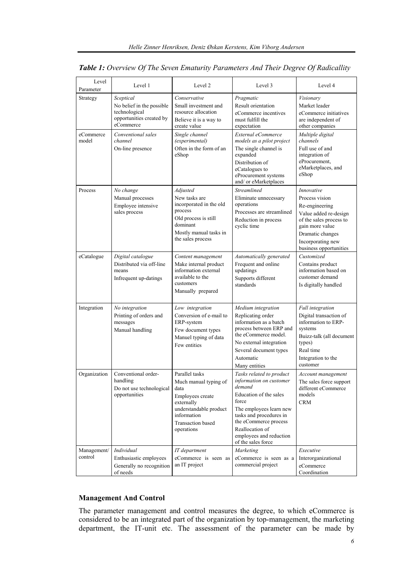| Level                  | Level 1                                                                                          | Level 2                                                                                                                                                              | Level 3                                                                                                                                                                                                                                             | Level 4                                                                                                                                                                                  |
|------------------------|--------------------------------------------------------------------------------------------------|----------------------------------------------------------------------------------------------------------------------------------------------------------------------|-----------------------------------------------------------------------------------------------------------------------------------------------------------------------------------------------------------------------------------------------------|------------------------------------------------------------------------------------------------------------------------------------------------------------------------------------------|
| Parameter<br>Strategy  | Sceptical<br>No belief in the possible<br>technological<br>opportunities created by<br>eCommerce | Conservative<br>Small investment and<br>resource allocation<br>Believe it is a way to<br>create value                                                                | Pragmatic<br>Result orientation<br>eCommerce incentives<br>must fulfill the<br>expectation                                                                                                                                                          | Visionary<br>Market leader<br>eCommerce initiatives<br>are independent of<br>other companies                                                                                             |
| eCommerce<br>model     | Conventional sales<br>channel<br>On-line presence                                                | Single channel<br>(experimental)<br>Often in the form of an<br>eShop                                                                                                 | External eCommerce<br>models as a pilot project<br>The single channel is<br>expanded<br>Distribution of<br>eCatalogues to<br>eProcurement systems<br>and/ or eMarketplaces                                                                          | Multiple digital<br>channels<br>Full use of and<br>integration of<br>eProcurement,<br>eMarketplaces, and<br>eShop                                                                        |
| Process                | No change<br>Manual processes<br>Employee intensive<br>sales process                             | Adjusted<br>New tasks are<br>incorporated in the old<br>process<br>Old process is still<br>dominant<br>Mostly manual tasks in<br>the sales process                   | <b>Streamlined</b><br>Eliminate unnecessary<br>operations<br>Processes are streamlined<br>Reduction in process<br>cyclic time                                                                                                                       | Innovative<br>Process vision<br>Re-engineering<br>Value added re-design<br>of the sales process to<br>gain more value<br>Dramatic changes<br>Incorporating new<br>business opportunities |
| eCatalogue             | Digital catalogue<br>Distributed via off-line<br>means<br>Infrequent up-datings                  | Content management<br>Make internal product<br>information external<br>available to the<br>customers<br>Manually prepared                                            | Automatically generated<br>Frequent and online<br>updatings<br>Supports different<br>standards                                                                                                                                                      | Customized<br>Contains product<br>information based on<br>customer demand<br>Is digitally handled                                                                                        |
| Integration            | No integration<br>Printing of orders and<br>messages<br>Manual handling                          | Low integration<br>Conversion of e-mail to<br>ERP-system<br>Few document types<br>Manuel typing of data<br>Few entities                                              | Medium integration<br>Replicating order<br>information as a batch<br>process between ERP and<br>the eCommerce model.<br>No external integration<br>Several document types<br>Automatic<br>Many entities                                             | <b>Full</b> integration<br>Digital transaction of<br>information to ERP-<br>systems<br>Buizz-talk (all document<br>types)<br>Real time<br>Integration to the<br>customer                 |
| Organization           | Conventional order-<br>handling<br>Do not use technological<br>opportunities                     | Parallel tasks<br>Much manual typing of<br>data<br>Employees create<br>externally<br>understandable product<br>information<br><b>Transaction</b> based<br>operations | Tasks related to product<br>information on customer<br>demand<br>Education of the sales<br>force<br>The employees learn new<br>tasks and procedures in<br>the eCommerce process<br>Reallocation of<br>employees and reduction<br>of the sales force | Account management<br>The sales force support<br>different eCommerce<br>models<br><b>CRM</b>                                                                                             |
| Management/<br>control | Individual<br>Enthusiastic employees<br>Generally no recognition<br>of needs                     | IT department<br>eCommerce is seen as<br>an IT project                                                                                                               | Marketing<br>eCommerce is seen as a<br>commercial project                                                                                                                                                                                           | Executive<br>Interorganizational<br>eCommerce<br>Coordination                                                                                                                            |

## *Table 1: Overview Of The Seven Ematurity Parameters And Their Degree Of Radicallity*

# **Management And Control**

The parameter management and control measures the degree, to which eCommerce is considered to be an integrated part of the organization by top-management, the marketing department, the IT-unit etc. The assessment of the parameter can be made by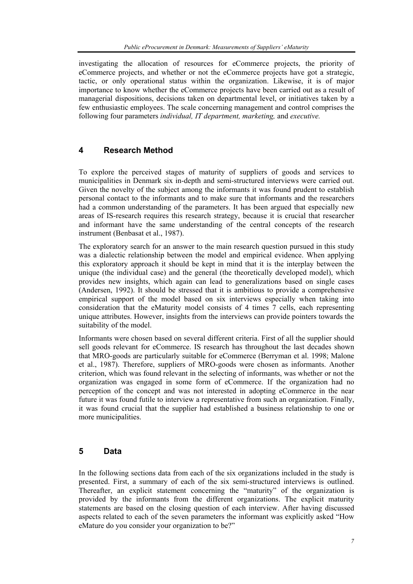investigating the allocation of resources for eCommerce projects, the priority of eCommerce projects, and whether or not the eCommerce projects have got a strategic, tactic, or only operational status within the organization. Likewise, it is of major importance to know whether the eCommerce projects have been carried out as a result of managerial dispositions, decisions taken on departmental level, or initiatives taken by a few enthusiastic employees. The scale concerning management and control comprises the following four parameters *individual, IT department, marketing,* and *executive.* 

# **4 Research Method**

To explore the perceived stages of maturity of suppliers of goods and services to municipalities in Denmark six in-depth and semi-structured interviews were carried out. Given the novelty of the subject among the informants it was found prudent to establish personal contact to the informants and to make sure that informants and the researchers had a common understanding of the parameters. It has been argued that especially new areas of IS-research requires this research strategy, because it is crucial that researcher and informant have the same understanding of the central concepts of the research instrument (Benbasat et al., 1987).

The exploratory search for an answer to the main research question pursued in this study was a dialectic relationship between the model and empirical evidence. When applying this exploratory approach it should be kept in mind that it is the interplay between the unique (the individual case) and the general (the theoretically developed model), which provides new insights, which again can lead to generalizations based on single cases (Andersen, 1992). It should be stressed that it is ambitious to provide a comprehensive empirical support of the model based on six interviews especially when taking into consideration that the eMaturity model consists of 4 times 7 cells, each representing unique attributes. However, insights from the interviews can provide pointers towards the suitability of the model.

Informants were chosen based on several different criteria. First of all the supplier should sell goods relevant for eCommerce. IS research has throughout the last decades shown that MRO-goods are particularly suitable for eCommerce (Berryman et al. 1998; Malone et al., 1987). Therefore, suppliers of MRO-goods were chosen as informants. Another criterion, which was found relevant in the selecting of informants, was whether or not the organization was engaged in some form of eCommerce. If the organization had no perception of the concept and was not interested in adopting eCommerce in the near future it was found futile to interview a representative from such an organization. Finally, it was found crucial that the supplier had established a business relationship to one or more municipalities.

# **5 Data**

In the following sections data from each of the six organizations included in the study is presented. First, a summary of each of the six semi-structured interviews is outlined. Thereafter, an explicit statement concerning the "maturity" of the organization is provided by the informants from the different organizations. The explicit maturity statements are based on the closing question of each interview. After having discussed aspects related to each of the seven parameters the informant was explicitly asked "How eMature do you consider your organization to be?"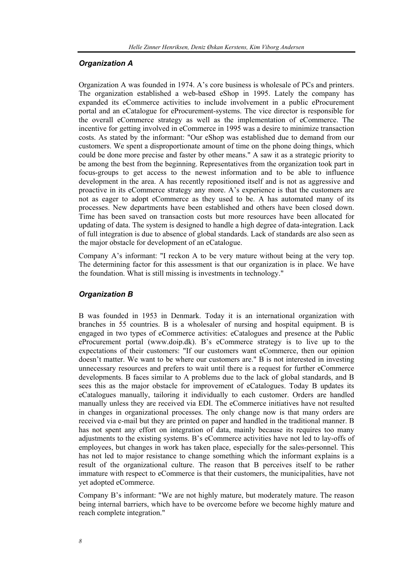#### *Organization A*

Organization A was founded in 1974. A's core business is wholesale of PCs and printers. The organization established a web-based eShop in 1995. Lately the company has expanded its eCommerce activities to include involvement in a public eProcurement portal and an eCatalogue for eProcurement-systems. The vice director is responsible for the overall eCommerce strategy as well as the implementation of eCommerce. The incentive for getting involved in eCommerce in 1995 was a desire to minimize transaction costs. As stated by the informant: "Our eShop was established due to demand from our customers. We spent a disproportionate amount of time on the phone doing things, which could be done more precise and faster by other means." A saw it as a strategic priority to be among the best from the beginning. Representatives from the organization took part in focus-groups to get access to the newest information and to be able to influence development in the area. A has recently repositioned itself and is not as aggressive and proactive in its eCommerce strategy any more. A's experience is that the customers are not as eager to adopt eCommerce as they used to be. A has automated many of its processes. New departments have been established and others have been closed down. Time has been saved on transaction costs but more resources have been allocated for updating of data. The system is designed to handle a high degree of data-integration. Lack of full integration is due to absence of global standards. Lack of standards are also seen as the major obstacle for development of an eCatalogue.

Company A's informant: "I reckon A to be very mature without being at the very top. The determining factor for this assessment is that our organization is in place. We have the foundation. What is still missing is investments in technology."

#### *Organization B*

B was founded in 1953 in Denmark. Today it is an international organization with branches in 55 countries. B is a wholesaler of nursing and hospital equipment. B is engaged in two types of eCommerce activities: eCatalogues and presence at the Public eProcurement portal (www.doip.dk). B's eCommerce strategy is to live up to the expectations of their customers: "If our customers want eCommerce, then our opinion doesn't matter. We want to be where our customers are." B is not interested in investing unnecessary resources and prefers to wait until there is a request for further eCommerce developments. B faces similar to A problems due to the lack of global standards, and B sees this as the major obstacle for improvement of eCatalogues. Today B updates its eCatalogues manually, tailoring it individually to each customer. Orders are handled manually unless they are received via EDI. The eCommerce initiatives have not resulted in changes in organizational processes. The only change now is that many orders are received via e-mail but they are printed on paper and handled in the traditional manner. B has not spent any effort on integration of data, mainly because its requires too many adjustments to the existing systems. B's eCommerce activities have not led to lay-offs of employees, but changes in work has taken place, especially for the sales-personnel. This has not led to major resistance to change something which the informant explains is a result of the organizational culture. The reason that B perceives itself to be rather immature with respect to eCommerce is that their customers, the municipalities, have not yet adopted eCommerce.

Company B's informant: "We are not highly mature, but moderately mature. The reason being internal barriers, which have to be overcome before we become highly mature and reach complete integration."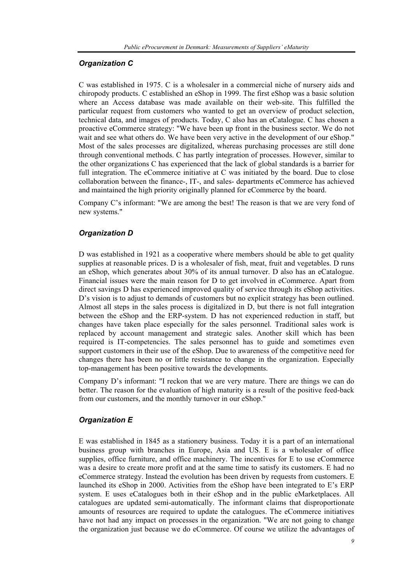# *Organization C*

C was established in 1975. C is a wholesaler in a commercial niche of nursery aids and chiropody products. C established an eShop in 1999. The first eShop was a basic solution where an Access database was made available on their web-site. This fulfilled the particular request from customers who wanted to get an overview of product selection, technical data, and images of products. Today, C also has an eCatalogue. C has chosen a proactive eCommerce strategy: "We have been up front in the business sector. We do not wait and see what others do. We have been very active in the development of our eShop." Most of the sales processes are digitalized, whereas purchasing processes are still done through conventional methods. C has partly integration of processes. However, similar to the other organizations C has experienced that the lack of global standards is a barrier for full integration. The eCommerce initiative at C was initiated by the board. Due to close collaboration between the finance-, IT-, and sales- departments eCommerce has achieved and maintained the high priority originally planned for eCommerce by the board.

Company C's informant: "We are among the best! The reason is that we are very fond of new systems."

# *Organization D*

D was established in 1921 as a cooperative where members should be able to get quality supplies at reasonable prices. D is a wholesaler of fish, meat, fruit and vegetables. D runs an eShop, which generates about 30% of its annual turnover. D also has an eCatalogue. Financial issues were the main reason for D to get involved in eCommerce. Apart from direct savings D has experienced improved quality of service through its eShop activities. D's vision is to adjust to demands of customers but no explicit strategy has been outlined. Almost all steps in the sales process is digitalized in D, but there is not full integration between the eShop and the ERP-system. D has not experienced reduction in staff, but changes have taken place especially for the sales personnel. Traditional sales work is replaced by account management and strategic sales. Another skill which has been required is IT-competencies. The sales personnel has to guide and sometimes even support customers in their use of the eShop. Due to awareness of the competitive need for changes there has been no or little resistance to change in the organization. Especially top-management has been positive towards the developments.

Company D's informant: "I reckon that we are very mature. There are things we can do better. The reason for the evaluation of high maturity is a result of the positive feed-back from our customers, and the monthly turnover in our eShop."

#### *Organization E*

E was established in 1845 as a stationery business. Today it is a part of an international business group with branches in Europe, Asia and US. E is a wholesaler of office supplies, office furniture, and office machinery. The incentives for E to use eCommerce was a desire to create more profit and at the same time to satisfy its customers. E had no eCommerce strategy. Instead the evolution has been driven by requests from customers. E launched its eShop in 2000. Activities from the eShop have been integrated to E's ERP system. E uses eCatalogues both in their eShop and in the public eMarketplaces. All catalogues are updated semi-automatically. The informant claims that disproportionate amounts of resources are required to update the catalogues. The eCommerce initiatives have not had any impact on processes in the organization. "We are not going to change the organization just because we do eCommerce. Of course we utilize the advantages of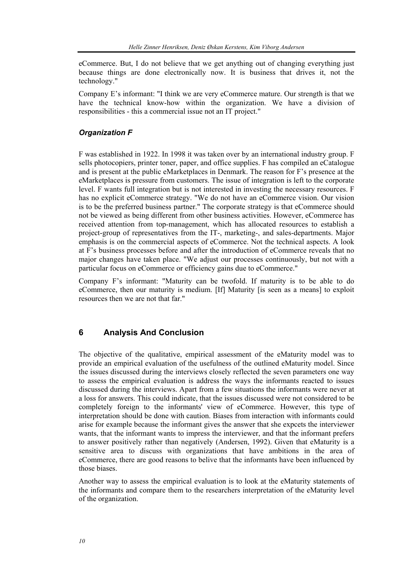eCommerce. But, I do not believe that we get anything out of changing everything just because things are done electronically now. It is business that drives it, not the technology."

Company E's informant: "I think we are very eCommerce mature. Our strength is that we have the technical know-how within the organization. We have a division of responsibilities - this a commercial issue not an IT project."

## *Organization F*

F was established in 1922. In 1998 it was taken over by an international industry group. F sells photocopiers, printer toner, paper, and office supplies. F has compiled an eCatalogue and is present at the public eMarketplaces in Denmark. The reason for F's presence at the eMarketplaces is pressure from customers. The issue of integration is left to the corporate level. F wants full integration but is not interested in investing the necessary resources. F has no explicit eCommerce strategy. "We do not have an eCommerce vision. Our vision is to be the preferred business partner." The corporate strategy is that eCommerce should not be viewed as being different from other business activities. However, eCommerce has received attention from top-management, which has allocated resources to establish a project-group of representatives from the IT-, marketing-, and sales-departments. Major emphasis is on the commercial aspects of eCommerce. Not the technical aspects. A look at F's business processes before and after the introduction of eCommerce reveals that no major changes have taken place. "We adjust our processes continuously, but not with a particular focus on eCommerce or efficiency gains due to eCommerce."

Company F's informant: "Maturity can be twofold. If maturity is to be able to do eCommerce, then our maturity is medium. [If] Maturity [is seen as a means] to exploit resources then we are not that far."

# **6 Analysis And Conclusion**

The objective of the qualitative, empirical assessment of the eMaturity model was to provide an empirical evaluation of the usefulness of the outlined eMaturity model. Since the issues discussed during the interviews closely reflected the seven parameters one way to assess the empirical evaluation is address the ways the informants reacted to issues discussed during the interviews. Apart from a few situations the informants were never at a loss for answers. This could indicate, that the issues discussed were not considered to be completely foreign to the informants' view of eCommerce. However, this type of interpretation should be done with caution. Biases from interaction with informants could arise for example because the informant gives the answer that she expcets the interviewer wants, that the informant wants to impress the interviewer, and that the informant prefers to answer positively rather than negatively (Andersen, 1992). Given that eMaturity is a sensitive area to discuss with organizations that have ambitions in the area of eCommerce, there are good reasons to belive that the informants have been influenced by those biases.

Another way to assess the empirical evaluation is to look at the eMaturity statements of the informants and compare them to the researchers interpretation of the eMaturity level of the organization.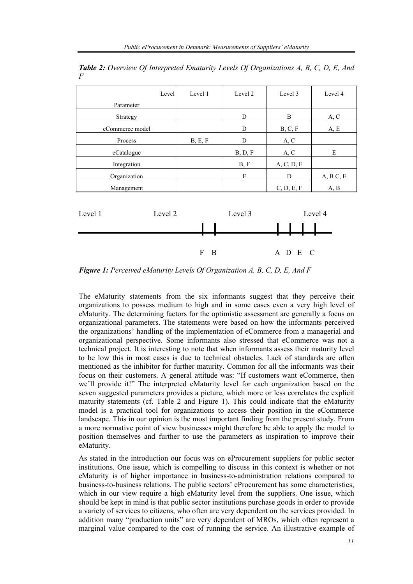| Level           | Level 1 | Level 2 | Level 3    | Level 4    |
|-----------------|---------|---------|------------|------------|
| Parameter       |         |         |            |            |
| Strategy        |         | D       | B          | A, C       |
| eCommerce model |         | D       | B, C, F    | A, E       |
| Process         | B, E, F | D       | A, C       |            |
| eCatalogue      |         | B, D, F | A, C       | E          |
| Integration     |         | B, F    | A, C, D, E |            |
| Organization    |         | F       | D          | A, B, C, E |
| Management      |         |         | C, D, E, F | A, B       |

*Table 2: Overview Of Interpreted Ematurity Levels Of Organizations A, B, C, D, E, And F* 



*Figure 1: Perceived eMaturity Levels Of Organization A, B, C, D, E, And F* 

The eMaturity statements from the six informants suggest that they perceive their organizations to possess medium to high and in some cases even a very high level of eMaturity. The determining factors for the optimistic assessment are generally a focus on organizational parameters. The statements were based on how the informants perceived the organizations' handling of the implementation of eCommerce from a managerial and organizational perspective. Some informants also stressed that eCommerce was not a technical project. It is interesting to note that when informants assess their maturity level to be low this in most cases is due to technical obstacles. Lack of standards are often mentioned as the inhibitor for further maturity. Common for all the informants was their focus on their customers. A general attitude was: "If customers want eCommerce, then we'll provide it!" The interpreted eMaturity level for each organization based on the seven suggested parameters provides a picture, which more or less correlates the explicit maturity statements (cf. Table 2 and Figure 1). This could indicate that the eMaturity model is a practical tool for organizations to access their position in the eCommerce landscape. This in our opinion is the most important finding from the present study. From a more normative point of view businesses might therefore be able to apply the model to position themselves and further to use the parameters as inspiration to improve their eMaturity.

As stated in the introduction our focus was on eProcurement suppliers for public sector institutions. One issue, which is compelling to discuss in this context is whether or not eMaturity is of higher importance in business-to-administration relations compared to business-to-business relations. The public sectors' eProcurement has some characteristics, which in our view require a high eMaturity level from the suppliers. One issue, which should be kept in mind is that public sector institutions purchase goods in order to provide a variety of services to citizens, who often are very dependent on the services provided. In addition many "production units" are very dependent of MROs, which often represent a marginal value compared to the cost of running the service. An illustrative example of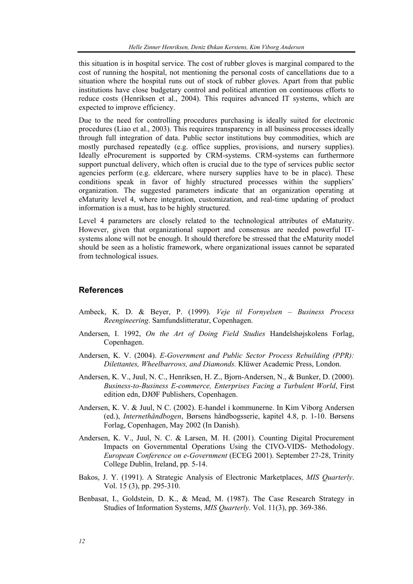this situation is in hospital service. The cost of rubber gloves is marginal compared to the cost of running the hospital, not mentioning the personal costs of cancellations due to a situation where the hospital runs out of stock of rubber gloves. Apart from that public institutions have close budgetary control and political attention on continuous efforts to reduce costs (Henriksen et al., 2004). This requires advanced IT systems, which are expected to improve efficiency.

Due to the need for controlling procedures purchasing is ideally suited for electronic procedures (Liao et al., 2003). This requires transparency in all business processes ideally through full integration of data. Public sector institutions buy commodities, which are mostly purchased repeatedly (e.g. office supplies, provisions, and nursery supplies). Ideally eProcurement is supported by CRM-systems. CRM-systems can furthermore support punctual delivery, which often is crucial due to the type of services public sector agencies perform (e.g. eldercare, where nursery supplies have to be in place). These conditions speak in favor of highly structured processes within the suppliers' organization. The suggested parameters indicate that an organization operating at eMaturity level 4, where integration, customization, and real-time updating of product information is a must, has to be highly structured.

Level 4 parameters are closely related to the technological attributes of eMaturity. However, given that organizational support and consensus are needed powerful ITsystems alone will not be enough. It should therefore be stressed that the eMaturity model should be seen as a holistic framework, where organizational issues cannot be separated from technological issues.

#### **References**

- Ambeck, K. D. & Beyer, P. (1999). *Veje til Fornyelsen Business Process Reengineering*. Samfundslitteratur, Copenhagen.
- Andersen, I. 1992, *On the Art of Doing Field Studies* Handelshøjskolens Forlag, Copenhagen.
- Andersen, K. V. (2004). *E-Government and Public Sector Process Rebuilding (PPR): Dilettantes, Wheelbarrows, and Diamonds.* Klüwer Academic Press, London.
- Andersen, K. V., Juul, N. C., Henriksen, H. Z., Bjorn-Andersen, N., & Bunker, D. (2000). *Business-to-Business E-commerce, Enterprises Facing a Turbulent World*, First edition edn, DJØF Publishers, Copenhagen.
- Andersen, K. V. & Juul, N C. (2002). E-handel i kommunerne. In Kim Viborg Andersen (ed.), *Internethåndbogen*, Børsens håndbogsserie, kapitel 4.8, p. 1-10. Børsens Forlag, Copenhagen, May 2002 (In Danish).
- Andersen, K. V., Juul, N. C. & Larsen, M. H. (2001). Counting Digital Procurement Impacts on Governmental Operations Using the CIVO-VIDS- Methodology. *European Conference on e-Government* (ECEG 2001). September 27-28, Trinity College Dublin, Ireland, pp. 5-14.
- Bakos, J. Y. (1991). A Strategic Analysis of Electronic Marketplaces, *MIS Quarterly*. Vol. 15 (3), pp. 295-310.
- Benbasat, I., Goldstein, D. K., & Mead, M. (1987). The Case Research Strategy in Studies of Information Systems, *MIS Quarterly*. Vol. 11(3), pp. 369-386.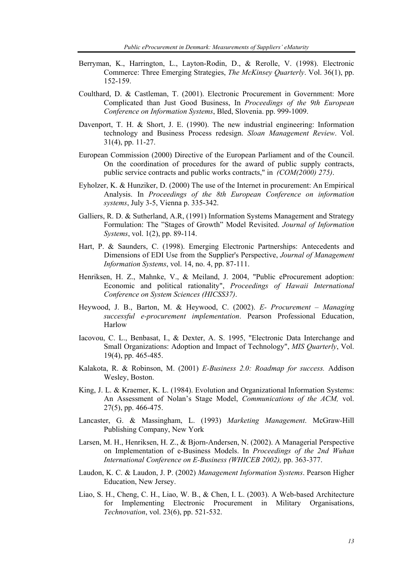- Berryman, K., Harrington, L., Layton-Rodin, D., & Rerolle, V. (1998). Electronic Commerce: Three Emerging Strategies, *The McKinsey Quarterly*. Vol. 36(1), pp. 152-159.
- Coulthard, D. & Castleman, T. (2001). Electronic Procurement in Government: More Complicated than Just Good Business, In *Proceedings of the 9th European Conference on Information Systems*, Bled, Slovenia. pp. 999-1009.
- Davenport, T. H. & Short, J. E. (1990). The new industrial engineering: Information technology and Business Process redesign. *Sloan Management Review*. Vol. 31(4), pp. 11-27.
- European Commission (2000) Directive of the European Parliament and of the Council. On the coordination of procedures for the award of public supply contracts, public service contracts and public works contracts," in *(COM(2000) 275)*.
- Eyholzer, K. & Hunziker, D. (2000) The use of the Internet in procurement: An Empirical Analysis. In *Proceedings of the 8th European Conference on information systems*, July 3-5, Vienna p. 335-342.
- Galliers, R. D. & Sutherland, A.R, (1991) Information Systems Management and Strategy Formulation: The "Stages of Growth" Model Revisited. *Journal of Information Systems*, vol. 1(2), pp. 89-114.
- Hart, P. & Saunders, C. (1998). Emerging Electronic Partnerships: Antecedents and Dimensions of EDI Use from the Supplier's Perspective, *Journal of Management Information Systems*, vol. 14, no. 4, pp. 87-111.
- Henriksen, H. Z., Mahnke, V., & Meiland, J. 2004, "Public eProcurement adoption: Economic and political rationality", *Proceedings of Hawaii International Conference on System Sciences (HICSS37)*.
- Heywood, J. B., Barton, M. & Heywood, C. (2002). *E- Procurement Managing successful e-procurement implementation*. Pearson Professional Education, Harlow
- Iacovou, C. L., Benbasat, I., & Dexter, A. S. 1995, "Electronic Data Interchange and Small Organizations: Adoption and Impact of Technology", *MIS Quarterly*, Vol. 19(4), pp. 465-485.
- Kalakota, R. & Robinson, M. (2001) *E-Business 2.0: Roadmap for success.* Addison Wesley, Boston.
- King, J. L. & Kraemer, K. L. (1984). Evolution and Organizational Information Systems: An Assessment of Nolan's Stage Model, *Communications of the ACM,* vol. 27(5), pp. 466-475.
- Lancaster, G. & Massingham, L. (1993) *Marketing Management*. McGraw-Hill Publishing Company, New York
- Larsen, M. H., Henriksen, H. Z., & Bjorn-Andersen, N. (2002). A Managerial Perspective on Implementation of e-Business Models. In *Proceedings of the 2nd Wuhan International Conference on E-Business (WHICEB 2002),* pp. 363-377.
- Laudon, K. C. & Laudon, J. P. (2002) *Management Information Systems*. Pearson Higher Education, New Jersey.
- Liao, S. H., Cheng, C. H., Liao, W. B., & Chen, I. L. (2003). A Web-based Architecture for Implementing Electronic Procurement in Military Organisations, *Technovation*, vol. 23(6), pp. 521-532.